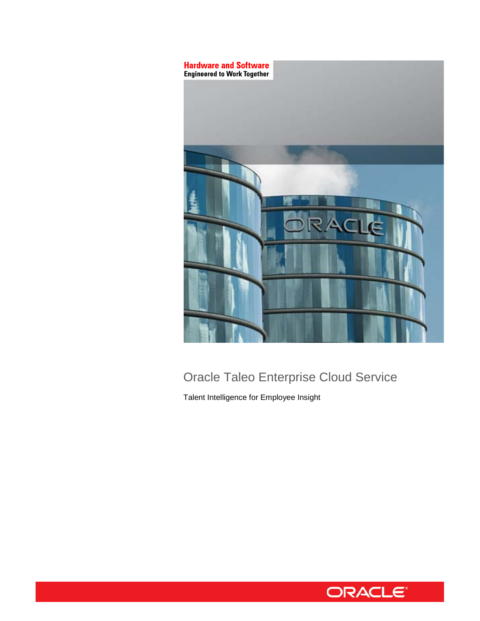

# Oracle Taleo Enterprise Cloud Service

Talent Intelligence for Employee Insight

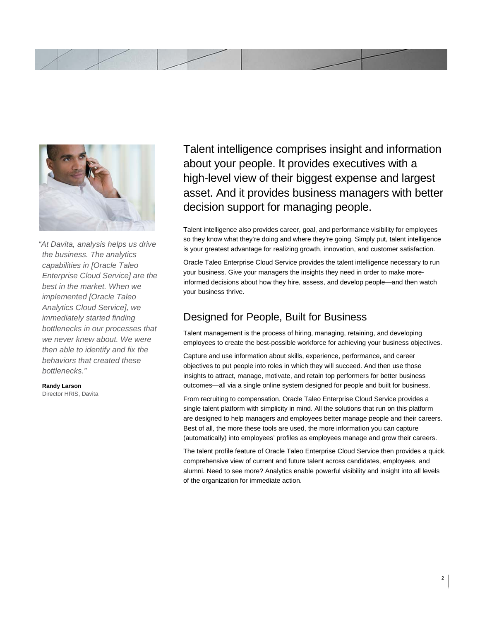



*"At Davita, analysis helps us drive the business. The analytics capabilities in [Oracle Taleo Enterprise Cloud Service] are the best in the market. When we implemented [Oracle Taleo Analytics Cloud Service], we immediately started finding bottlenecks in our processes that we never knew about. We were then able to identify and fix the behaviors that created these bottlenecks."* 

**Randy Larson**  Director HRIS, Davita Talent intelligence comprises insight and information about your people. It provides executives with a high-level view of their biggest expense and largest asset. And it provides business managers with better decision support for managing people.

Talent intelligence also provides career, goal, and performance visibility for employees so they know what they're doing and where they're going. Simply put, talent intelligence is your greatest advantage for realizing growth, innovation, and customer satisfaction.

Oracle Taleo Enterprise Cloud Service provides the talent intelligence necessary to run your business. Give your managers the insights they need in order to make moreinformed decisions about how they hire, assess, and develop people—and then watch your business thrive.

## Designed for People, Built for Business

Talent management is the process of hiring, managing, retaining, and developing employees to create the best-possible workforce for achieving your business objectives.

Capture and use information about skills, experience, performance, and career objectives to put people into roles in which they will succeed. And then use those insights to attract, manage, motivate, and retain top performers for better business outcomes—all via a single online system designed for people and built for business.

 (automatically) into employees' profiles as employees manage and grow their careers. From recruiting to compensation, Oracle Taleo Enterprise Cloud Service provides a single talent platform with simplicity in mind. All the solutions that run on this platform are designed to help managers and employees better manage people and their careers. Best of all, the more these tools are used, the more information you can capture

The talent profile feature of Oracle Taleo Enterprise Cloud Service then provides a quick, comprehensive view of current and future talent across candidates, employees, and alumni. Need to see more? Analytics enable powerful visibility and insight into all levels of the organization for immediate action.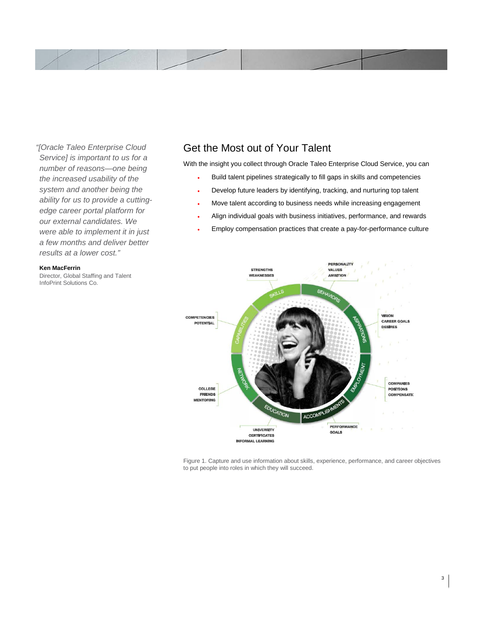

*"[Oracle Taleo Enterprise Cloud Service] is important to us for a number of reasons—one being the increased usability of the system and another being the ability for us to provide a cuttingedge career portal platform for our external candidates. We were able to implement it in just a few months and deliver better results at a lower cost."* 

#### **Ken MacFerrin**

Director, Global Staffing and Talent InfoPrint Solutions Co.

### Get the Most out of Your Talent

With the insight you collect through Oracle Taleo Enterprise Cloud Service, you can

- Build talent pipelines strategically to fill gaps in skills and competencies
- Develop future leaders by identifying, tracking, and nurturing top talent
- Move talent according to business needs while increasing engagement
- Align individual goals with business initiatives, performance, and rewards
- Employ compensation practices that create a pay-for-performance culture



Figure 1. Capture and use information about skills, experience, performance, and career objectives to put people into roles in which they will succeed.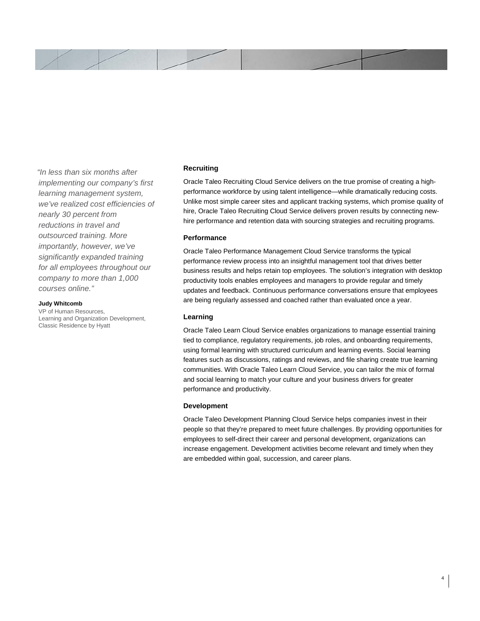

*"In less than six months after implementing our company's first learning management system, we've realized cost efficiencies of nearly 30 percent from reductions in travel and outsourced training. More importantly, however, we've significantly expanded training for all employees throughout our company to more than 1,000 courses online."* 

#### **Judy Whitcomb**

VP of Human Resources, Learning and Organization Development, Classic Residence by Hyatt

#### **Recruiting**

 Unlike most simple career sites and applicant tracking systems, which promise quality of Oracle Taleo Recruiting Cloud Service delivers on the true promise of creating a highperformance workforce by using talent intelligence—while dramatically reducing costs. hire, Oracle Taleo Recruiting Cloud Service delivers proven results by connecting newhire performance and retention data with sourcing strategies and recruiting programs.

#### **Performance**

Oracle Taleo Performance Management Cloud Service transforms the typical performance review process into an insightful management tool that drives better business results and helps retain top employees. The solution's integration with desktop productivity tools enables employees and managers to provide regular and timely updates and feedback. Continuous performance conversations ensure that employees are being regularly assessed and coached rather than evaluated once a year.

### **Learning**

Oracle Taleo Learn Cloud Service enables organizations to manage essential training tied to compliance, regulatory requirements, job roles, and onboarding requirements, using formal learning with structured curriculum and learning events. Social learning features such as discussions, ratings and reviews, and file sharing create true learning communities. With Oracle Taleo Learn Cloud Service, you can tailor the mix of formal and social learning to match your culture and your business drivers for greater performance and productivity.

#### **Development**

Oracle Taleo Development Planning Cloud Service helps companies invest in their people so that they're prepared to meet future challenges. By providing opportunities for employees to self-direct their career and personal development, organizations can increase engagement. Development activities become relevant and timely when they are embedded within goal, succession, and career plans.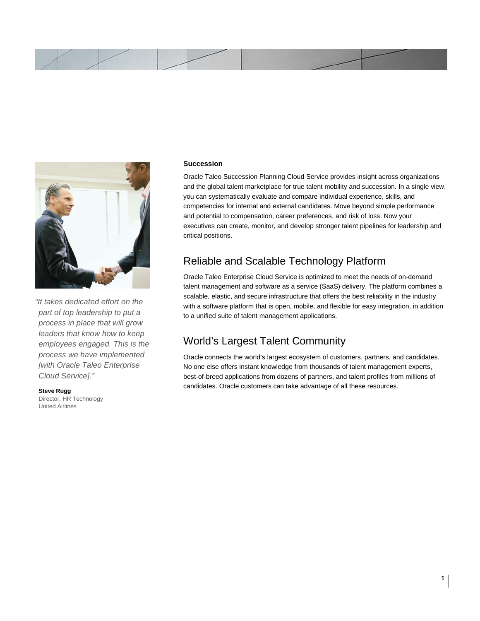



 *process in place that will grow leaders that know how to keep "It takes dedicated effort on the part of top leadership to put a employees engaged. This is the process we have implemented [with Oracle Taleo Enterprise Cloud Service]."* 

 **Steve Rugg** Director, HR Technology United Airlines

#### **Succession**

Oracle Taleo Succession Planning Cloud Service provides insight across organizations and the global talent marketplace for true talent mobility and succession. In a single view, you can systematically evaluate and compare individual experience, skills, and competencies for internal and external candidates. Move beyond simple performance and potential to compensation, career preferences, and risk of loss. Now your executives can create, monitor, and develop stronger talent pipelines for leadership and critical positions.

### Reliable and Scalable Technology Platform

Oracle Taleo Enterprise Cloud Service is optimized to meet the needs of on-demand talent management and software as a service (SaaS) delivery. The platform combines a scalable, elastic, and secure infrastructure that offers the best reliability in the industry with a software platform that is open, mobile, and flexible for easy integration, in addition to a unified suite of talent management applications.

### World's Largest Talent Community

 No one else offers instant knowledge from thousands of talent management experts, Oracle connects the world's largest ecosystem of customers, partners, and candidates. best-of-breed applications from dozens of partners, and talent profiles from millions of candidates. Oracle customers can take advantage of all these resources.